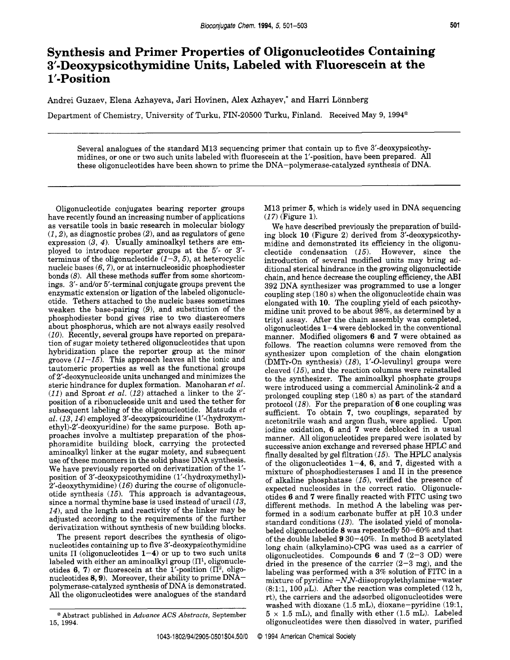## **Synthesis and Primer Properties of Oligonucleotides Containing 3'-Deoxypsicothymidine Units, Labeled with Fluorescein at the 1'-Position**

Andrei Guzaev, Elena Azhayeva, Jari Hovinen, **Alex** Azhayev,\* and Harri Lonnberg

Department of Chemistry, University of Turku, FIN-20500 Turku, Finland. Received May 9, 1994<sup>®</sup>

Several analogues of the standard M13 sequencing primer that contain up to five 3'-deoxypsicothymidines, or one or two such units labeled with fluorescein at the 1'-position, have been prepared. All these oligonucleotides have been shown to prime the DNA-polymerase-catalyzed synthesis of DNA.

Oligonucleotide conjugates bearing reporter groups have recently found an increasing number of applications as versatile tools in basic research in molecular biology *(1,2),* as diagnostic probes *(2),* and as regulators of gene expression  $(3, 4)$ . Usually aminoalkyl tethers are employed to introduce reporter groups at the **5'-** or 3' terminus of the oligonucleotide  $(1-3,5)$ , at heterocyclic nucleic bases  $(6,7)$ , or at internucleosidic phosphodiester bonds (8). All these methods suffer from some shortcomings. 3'- and/or 5'-terminal conjugate groups prevent the enzymatic extension or ligation of the labeled oligonucleotide. Tethers attached to the nucleic bases sometimes weaken the base-pairing *(9),* and substitution of the phosphodiester bond gives rise to two diastereomers about phosphorus, which are not always easily resolved *(10).* Recently, several groups have reported on preparation of sugar moiety tethered oligonucleotides that upon hybridization place the reporter group at the minor groove *(11-15).* This approach leaves all the ionic and tautomeric properties as well as the functional groups of 2'-deoxynucleoside units unchanged and minimizes the steric hindrance for duplex formation. Manoharan *et al. (11)* and Sproat *et al. (12)* attached a linker to the 2' position of a ribonucleoside unit and used the tether for subsequent labeling of the oligonucleotide. Matsuda *et al. (13,141* employed 3'-deoxypsicouridine (1'-(hydroxymethyl)-2'-deoxyuridine) for the same purpose. Both approaches involve a multistep preparation of the phosphoramidite building block, carrying the protected aminoalkyl linker at the sugar moiety, and subsequent use of these monomers in the solid phase DNA synthesis. We have previously reported on derivatization of the 1' position of 3'-deoxypsicothymidine (1'-(hydroxymethyl)-2'-deoxythymidine) (16) during the course of oligonucleotide synthesis *(15).* This approach is advantageous, since a normal thymine base is used instead of uracil *(13, 14),* and the length and reactivity of the linker may be adjusted according to the requirements of the further derivatization without synthesis of new building blocks.

The present report describes the synthesis of oligonucleotides containing up to five 3'-deoxypsicothymidine units  $\Pi$  (oligonucleotides  $1-4$ ) or up to two such units labeled with either an aminoalkyl group  $(\Pi^1,$  oligonucleotides **6, 7**) or fluorescein at the 1'-position  $(\Pi^2, \text{ oligo-})$ nucleotides **8,9).** Moreover, their ability to prime DNApolymerase-catalyzed synthesis of DNA is demonstrated. All the oligonucleotides were analogues of the standard M13 primer **5,** which is widely used in DNA sequencing *(17)* (Figure 1).

We have described previously the preparation of building block **10** (Figure 2) derived from 3'-deoxypsicothymidine and demonstrated its efficiency in the oligonucleotide condensation *(15).* However, since the introduction of several modified units may bring additional sterical hindrance in the growing oligonucleotide chain, and hence decrease the coupling efficiency, the AB1 392 DNA synthesizer was programmed to use a longer coupling step (180 s) when the oligonucleotide chain was elongated with **10.** The coupling yield of each psicothymidine unit proved to be about 98%, as determined by a trityl assay. After the chain assembly was completed, oligonucleotides **1-4** were deblocked in the conventional manner. Modified oligomers **6** and *7* were obtained as follows. The reaction columns were removed from the synthesizer upon completion of the chain elongation (DMTr-On synthesis) *(18),* 1'-0-levulinyl groups were cleaved *(151,* and the reaction columns were reinstalled to the synthesizer. The aminoalkyl phosphate groups were introduced using a commercial Aminolink-2 and a prolonged coupling step (180 s) as part of the standard protocol *(18).* For the preparation of **6** one coupling was sufficient. To obtain *7,* two couplings, separated by acetonitrile wash and argon flush, were applied. Upon iodine oxidation, **6** and *7* were deblocked in a usual manner. All oligonucleotides prepared were isolated by successive anion exchange and reversed phase HPLC and finally desalted by gel filtration *(15).* The HPLC analysis of the oligonucleotides **1-4, 6,** and *7,* digested with a mixture of phosphodiesterases I and I1 in the presence of alkaline phosphatase *(151,* verified the presence of expected nucleosides in the correct ratio. Oligonucleotides **6** and *7* were finally reacted with FITC using two different methods. In method A the labeling was performed in a sodium carbonate buffer at pH 10.3 under standard conditions *(13).* The isolated yield of monolabeled oligonucleotide 8 was repeatedly 50-60% and that of the double labeled **9** 30-40%. In method B acetylated long chain (alky1amino)-CPG was used as a carrier of oligonucleotides. Compounds **6** and *7* (2-3 OD) were dried in the presence of the carrier  $(2-3$  mg), and the labeling was performed with a 3% solution of FITC in a mixture of pyridine **-NJV-diisopropylethylamine-water**   $(8:1:1, 100 \,\mu L)$ . After the reaction was completed  $(12 \text{ h}, 100 \,\mu L)$ . rt), the carriers and the adsorbed oligonucleotides were washed with dioxane (1.5 mL), dioxane-pyridine (19:1,  $5 \times 1.5$  mL), and finally with ether (1.5 mL). Labeled oligonucleotides were then dissolved in water, purified

<sup>@</sup> Abstract published in *Advance ACS Abstracts,* September **15,** 1994.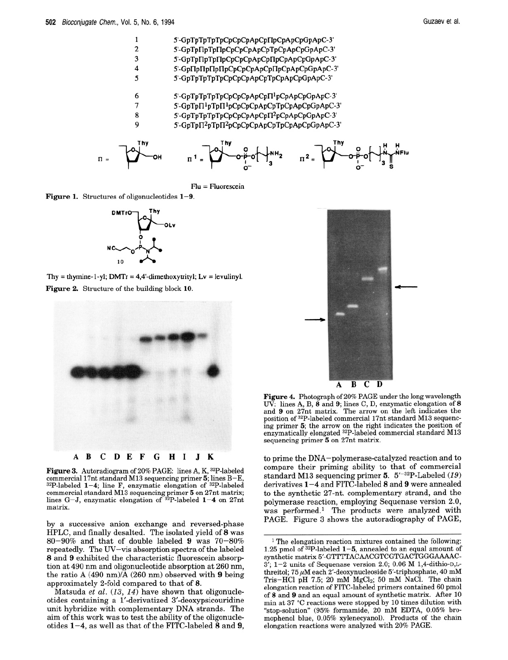

Flu = Fluorescein

**Figure 1.** Structures of oligonucleotides **1-9.** 



Thy = thymine-1-yl;  $DMTr = 4.4$ '-dimethoxytrityl;  $Lv = \text{levulinyl}$ . **Figure 2.** Structure of the building block **10.** 



**Figure 3.** Autoradiogram **of** 20% PAGE: lines A, K, 32P-labeled commercial 17nt standard M13 sequencing primer *5;* lines B-E, 32P-labeled **1-4;** line F, enzymatic elongation **of** 32P-labeled commercial standard M13 sequencing primer *5* on 27nt matrix; lines G-J, enzymatic elongation of 32P-labeled **1-4** on 27nt matrix.

by a successive anion exchange and reversed-phase HPLC, and finally desalted. The isolated yield of *8* was 80-90% and that of double labeled **9** was 70-80% repeatedly. The UV-vis absorption spectra of the labeled *8* and **9** exhibited the characteristic fluorescein absorption at 490 nm and oligonucleotide absorption at 260 nm, the ratio A (490 nm)/A (260 nm) observed with **9** being approximately 2-fold compared to that of *8.* 

Matsuda *et al. (13, 14)* have shown that oligonucleotides containing a 1'-derivatized 3'-deoxypsicouridine unit hybridize with complementary **DNA** strands. The aim of this work was to test the ability of the oligonucleotides **1-4,** as well as that of the FITC-labeled *8* and **9,** 

B C D A

**Figure 4.** Photograph of 20% PAGE under the long wavelength W. lines A, B, **<sup>8</sup>**and **9;** lines C, D, enzymatic elongation of **<sup>8</sup>** and **9** on 27nt matrix. The arrow on the left indicates the position of 32P-labeled commercial 17nt standard M13 sequencing primer *5;* the arrow on the right indicates the position of enzymatically elongated 32P-labeled commercial standard M13 sequencing primer *5* on 27nt matrix.

to prime the DNA-polymerase-catalyzed reaction and to compare their priming ability to that of commercial standard M13 sequencing primer *5.* 5'-32P-Labeled (19) derivatives **1-4** and FITC-labeled *8* and **9** were annealed to the synthetic 27-nt. complementary strand, and the polymerase reaction, employing Sequenase version 2.0, was performed.<sup>1</sup> The products were analyzed with PAGE. Figure 3 shows the autoradiography of PAGE,

<sup>&</sup>lt;sup>1</sup> The elongation reaction mixtures contained the following: 1.25 pmol of 32P-labeled **1-5,** annealed to an equal amount of synthetic matrix 5'-GTTTTACAACGTCGTGACTGGGAAAAC- $3'$ ;  $1-2$  units of Sequenase version 2.0; 0.06 M 1,4-dithio-D,Lthreitol; 75  $\mu$ M each 2'-deoxynucleoside 5'-triphosphate, 40 mM Tris-HCl pH 7.5; 20 mM MgCl<sub>2</sub>; 50 mM NaCl. The chain elongation reaction **of** FITC-labeled primers contained **60** pmol of **8** and **9** and an equal amount of synthetic matrix. After 10 min at 37 "C reactions were stopped by 10 times dilution with "stop-solution7' (95% formamide, 20 mM EDTA, 0.05% bromophenol blue, 0.05% xylenecyanol). Products **of** the chain elongation reactions were analyzed with 20% PAGE.